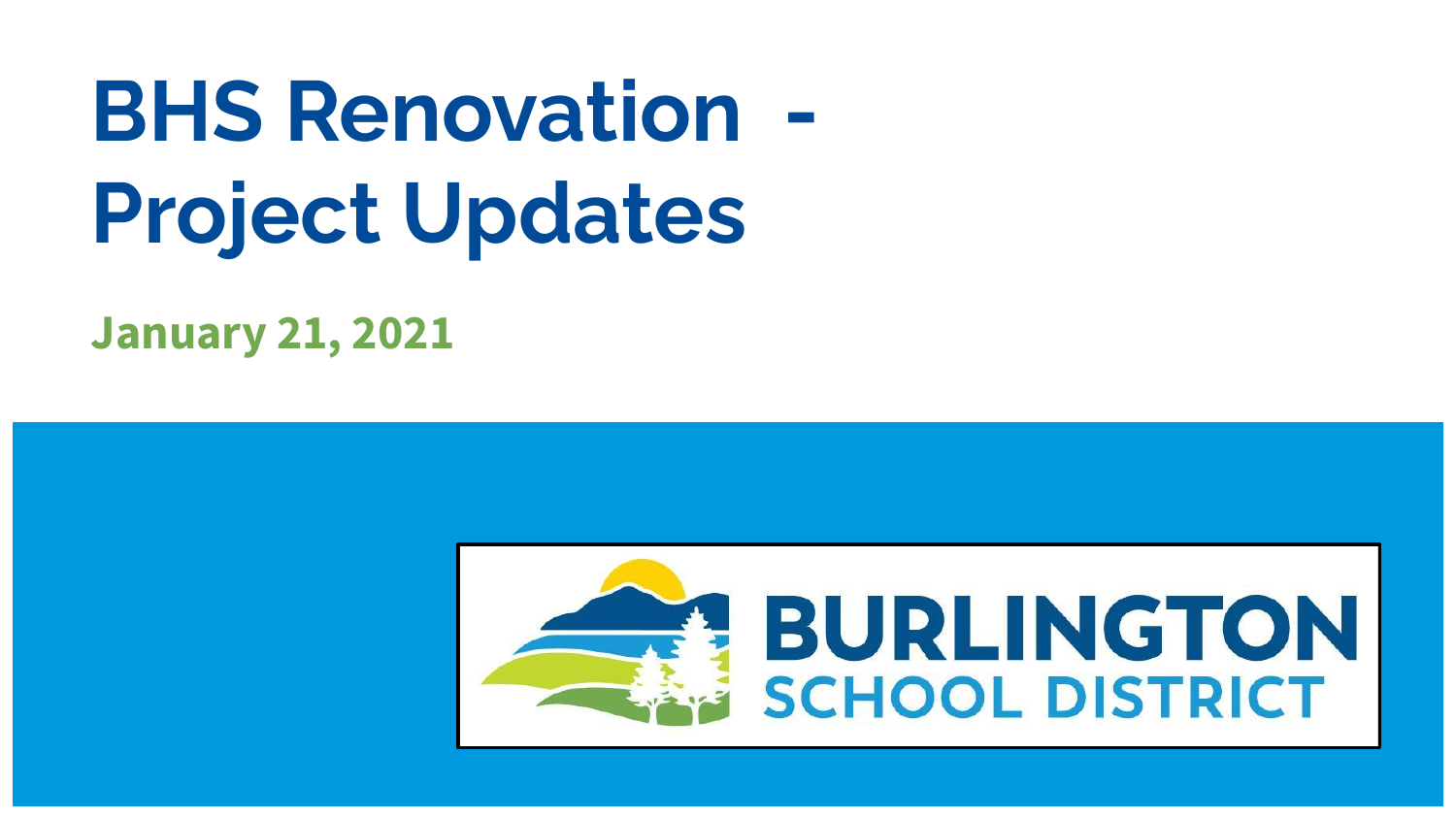# **BHS Renovation Project Updates**

**January 21, 2021**

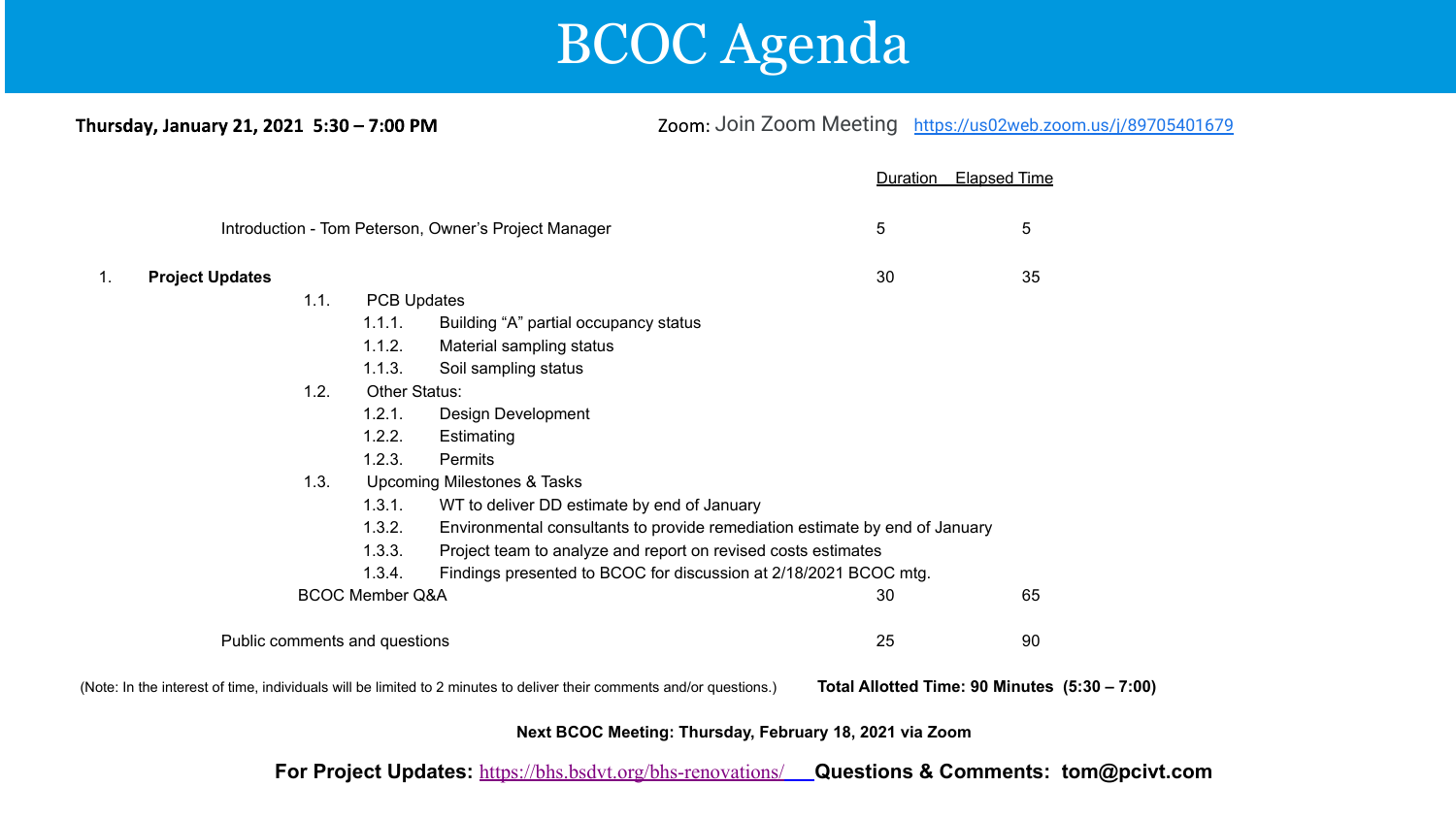

Thursday, January 21, 2021 5:30 - 7:00 PM

Zoom: [J](https://us02web.zoom.us/j/85950774703)oin Zoom Meeting <https://us02web.zoom.us/j/89705401679>

|                               |                                                      |      |                                                                                       |                                                                                                                       | Duration | <b>Elapsed Time</b>                           |
|-------------------------------|------------------------------------------------------|------|---------------------------------------------------------------------------------------|-----------------------------------------------------------------------------------------------------------------------|----------|-----------------------------------------------|
|                               | Introduction - Tom Peterson, Owner's Project Manager |      | 5                                                                                     | 5                                                                                                                     |          |                                               |
| 1.                            | <b>Project Updates</b>                               |      |                                                                                       |                                                                                                                       | 30       | 35                                            |
|                               |                                                      | 1.1. | <b>PCB Updates</b>                                                                    |                                                                                                                       |          |                                               |
|                               |                                                      |      | 1.1.1.                                                                                | Building "A" partial occupancy status                                                                                 |          |                                               |
|                               |                                                      |      | 1.1.2.                                                                                | Material sampling status                                                                                              |          |                                               |
|                               |                                                      |      | 1.1.3.                                                                                | Soil sampling status                                                                                                  |          |                                               |
|                               |                                                      | 1.2. | Other Status:                                                                         |                                                                                                                       |          |                                               |
|                               |                                                      |      | 1.2.1.                                                                                | Design Development                                                                                                    |          |                                               |
|                               |                                                      |      | 1.2.2.                                                                                | Estimating                                                                                                            |          |                                               |
|                               |                                                      |      | 1.2.3.                                                                                | <b>Permits</b>                                                                                                        |          |                                               |
|                               |                                                      | 1.3. | Upcoming Milestones & Tasks                                                           |                                                                                                                       |          |                                               |
|                               |                                                      |      | 1.3.1.                                                                                | WT to deliver DD estimate by end of January                                                                           |          |                                               |
|                               |                                                      |      | 1.3.2.<br>Environmental consultants to provide remediation estimate by end of January |                                                                                                                       |          |                                               |
|                               |                                                      |      | 1.3.3.                                                                                | Project team to analyze and report on revised costs estimates                                                         |          |                                               |
|                               |                                                      |      | 1.3.4.                                                                                | Findings presented to BCOC for discussion at 2/18/2021 BCOC mtg.                                                      |          |                                               |
| <b>BCOC Member Q&amp;A</b>    |                                                      |      |                                                                                       |                                                                                                                       | 30       | 65                                            |
| Public comments and questions |                                                      |      |                                                                                       |                                                                                                                       | 25       | 90                                            |
|                               |                                                      |      |                                                                                       | (Note: In the interest of time, individuals will be limited to 2 minutes to deliver their comments and/or questions.) |          | Total Allotted Time: 90 Minutes (5:30 - 7:00) |

**Next BCOC Meeting: Thursday, February 18, 2021 via Zoom**

**For Project Updates:** <https://bhs.bsdvt.org/bhs-renovations/>**Questions & Comments: tom@pcivt.com**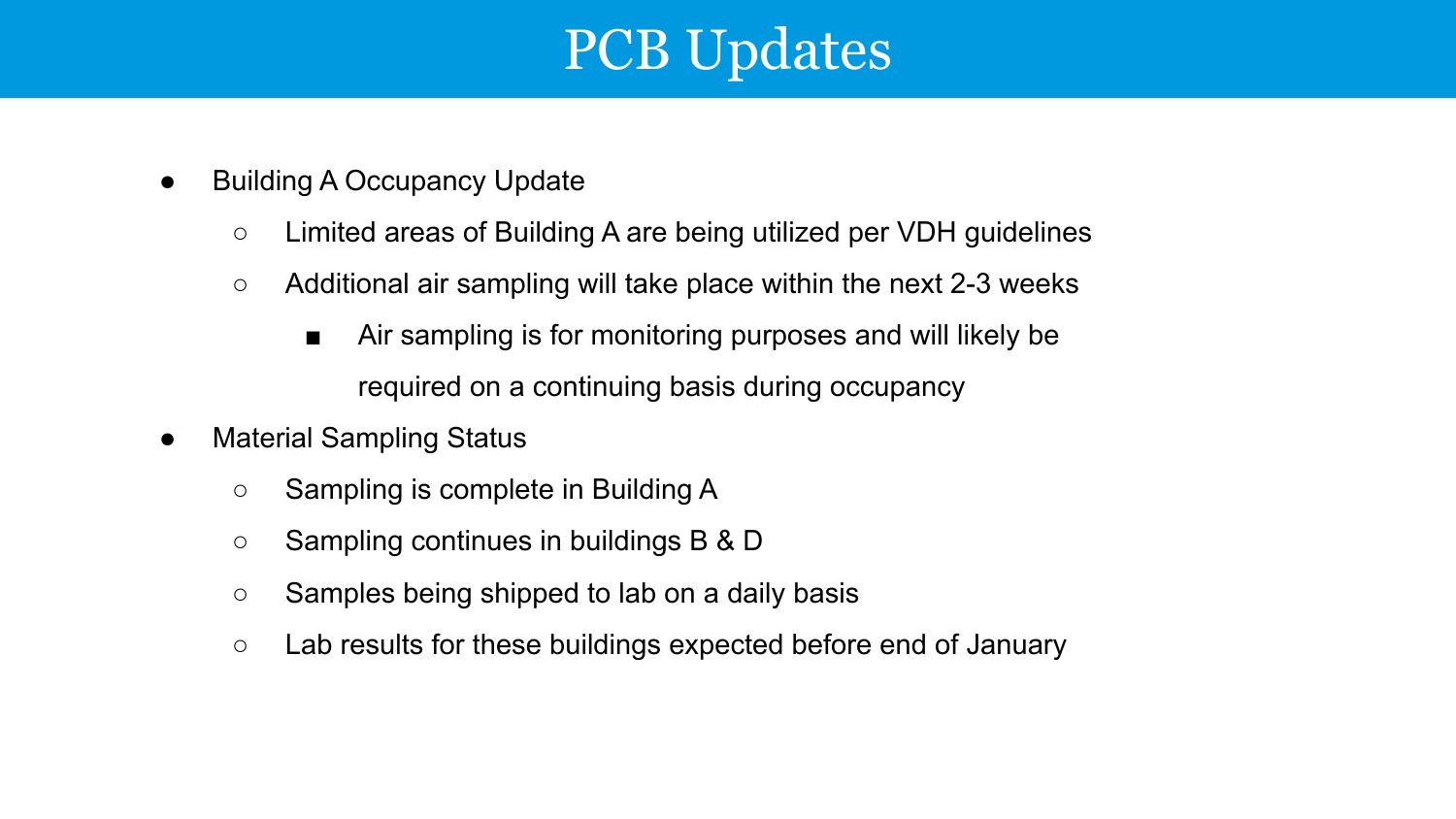### PCB Updates

- Building A Occupancy Update
	- Limited areas of Building A are being utilized per VDH guidelines
	- $\circ$  Additional air sampling will take place within the next 2-3 weeks
		- Air sampling is for monitoring purposes and will likely be required on a continuing basis during occupancy
- Material Sampling Status
	- Sampling is complete in Building A
	- Sampling continues in buildings B & D
	- Samples being shipped to lab on a daily basis
	- Lab results for these buildings expected before end of January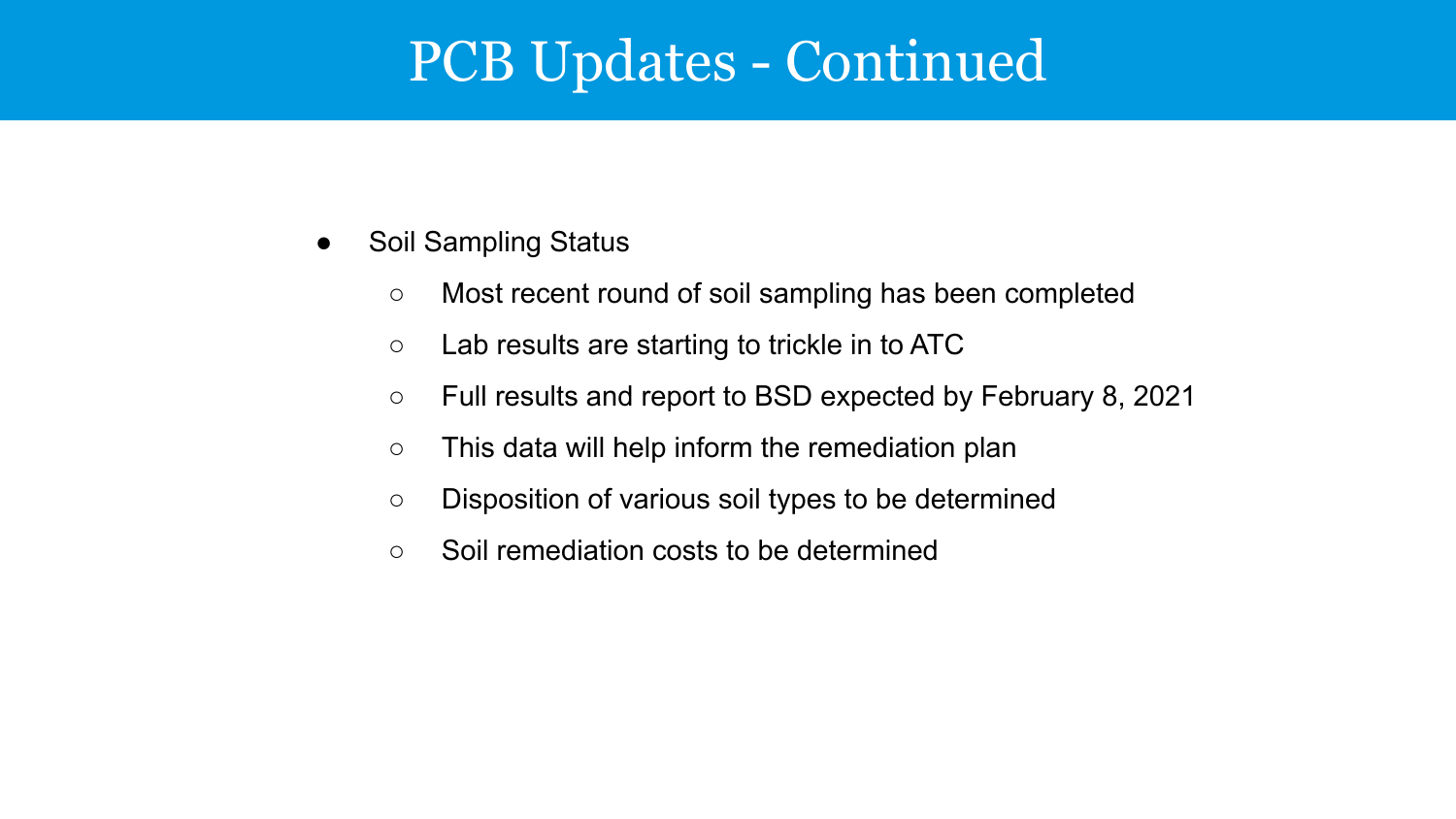### PCB Updates - Continued

- Soil Sampling Status
	- Most recent round of soil sampling has been completed
	- Lab results are starting to trickle in to ATC
	- Full results and report to BSD expected by February 8, 2021
	- $\circ$  This data will help inform the remediation plan
	- Disposition of various soil types to be determined
	- Soil remediation costs to be determined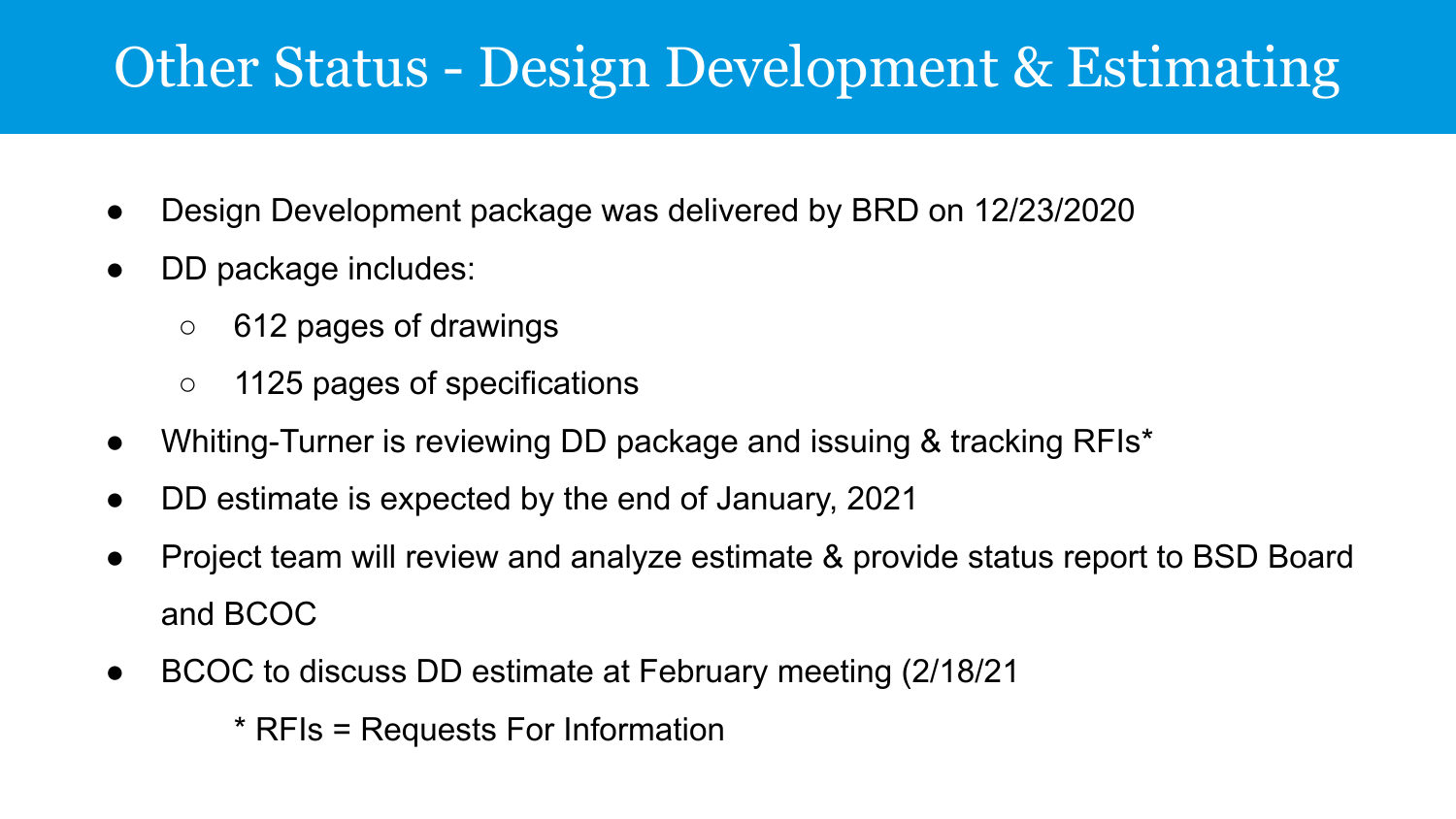### Other Status - Design Development & Estimating

- Design Development package was delivered by BRD on 12/23/2020
- DD package includes:
	- 612 pages of drawings
	- 1125 pages of specifications
- Whiting-Turner is reviewing DD package and issuing & tracking RFIs<sup>\*</sup>
- DD estimate is expected by the end of January, 2021
- Project team will review and analyze estimate & provide status report to BSD Board and BCOC
- BCOC to discuss DD estimate at February meeting (2/18/21)
	- \* RFIs = Requests For Information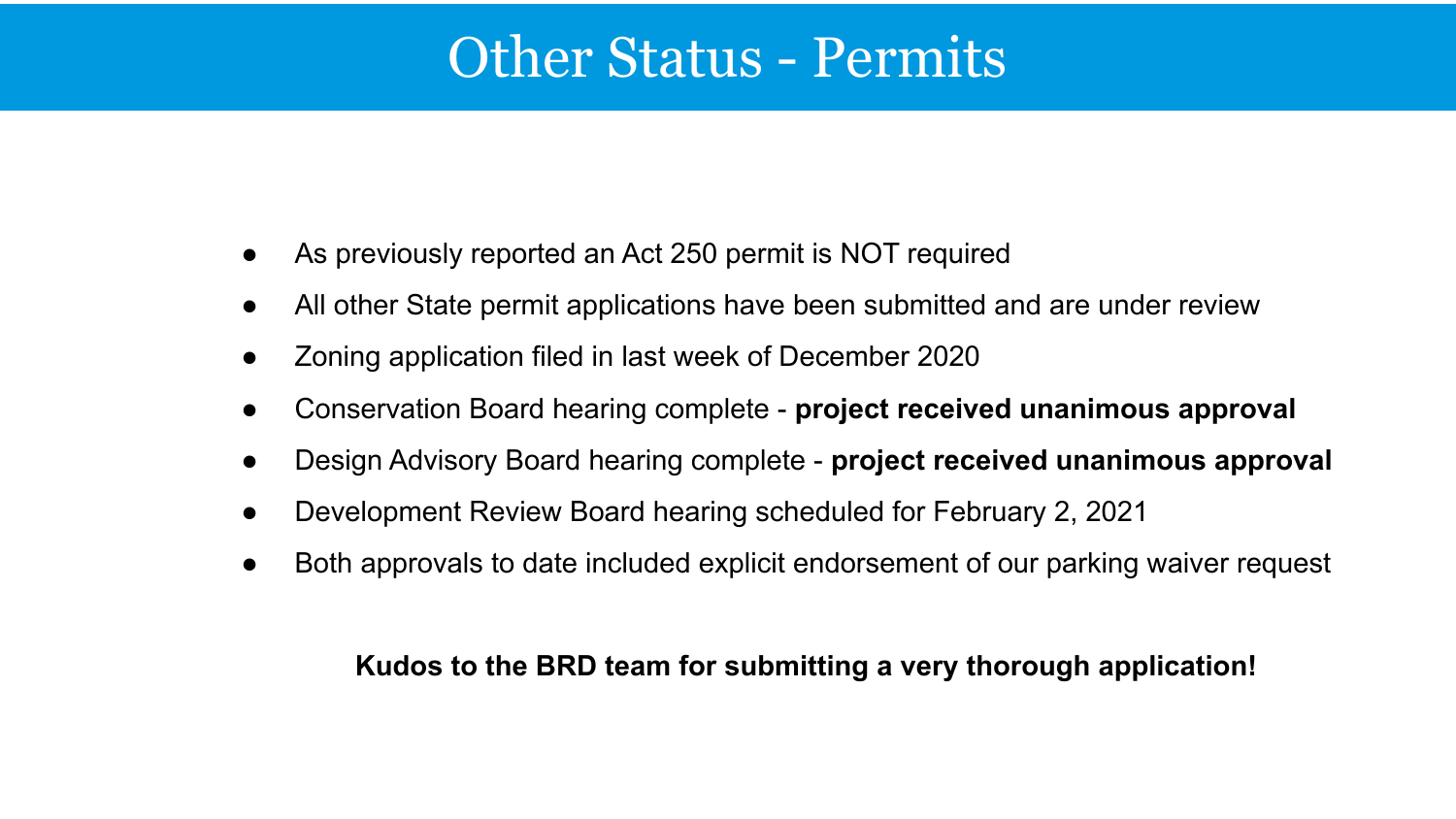#### Other Status - Permits

- As previously reported an Act 250 permit is NOT required
- All other State permit applications have been submitted and are under review
- Zoning application filed in last week of December 2020
- Conservation Board hearing complete **project received unanimous approval**
- Design Advisory Board hearing complete **project received unanimous approval**
- Development Review Board hearing scheduled for February 2, 2021
- Both approvals to date included explicit endorsement of our parking waiver request

#### **Kudos to the BRD team for submitting a very thorough application!**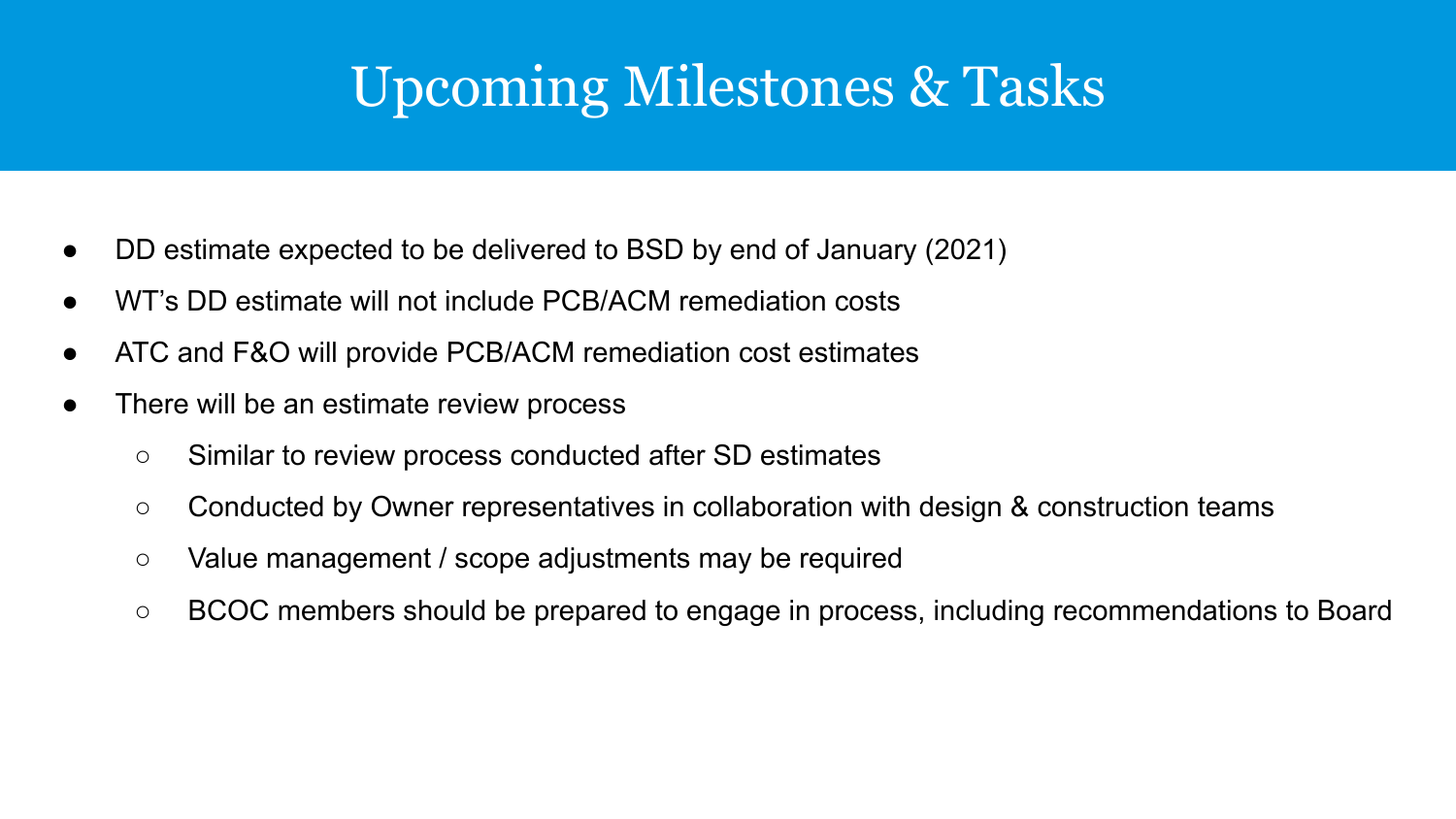### Upcoming Milestones & Tasks

- DD estimate expected to be delivered to BSD by end of January (2021)
- WT's DD estimate will not include PCB/ACM remediation costs
- ATC and F&O will provide PCB/ACM remediation cost estimates
- There will be an estimate review process
	- Similar to review process conducted after SD estimates
	- Conducted by Owner representatives in collaboration with design & construction teams
	- Value management / scope adjustments may be required
	- BCOC members should be prepared to engage in process, including recommendations to Board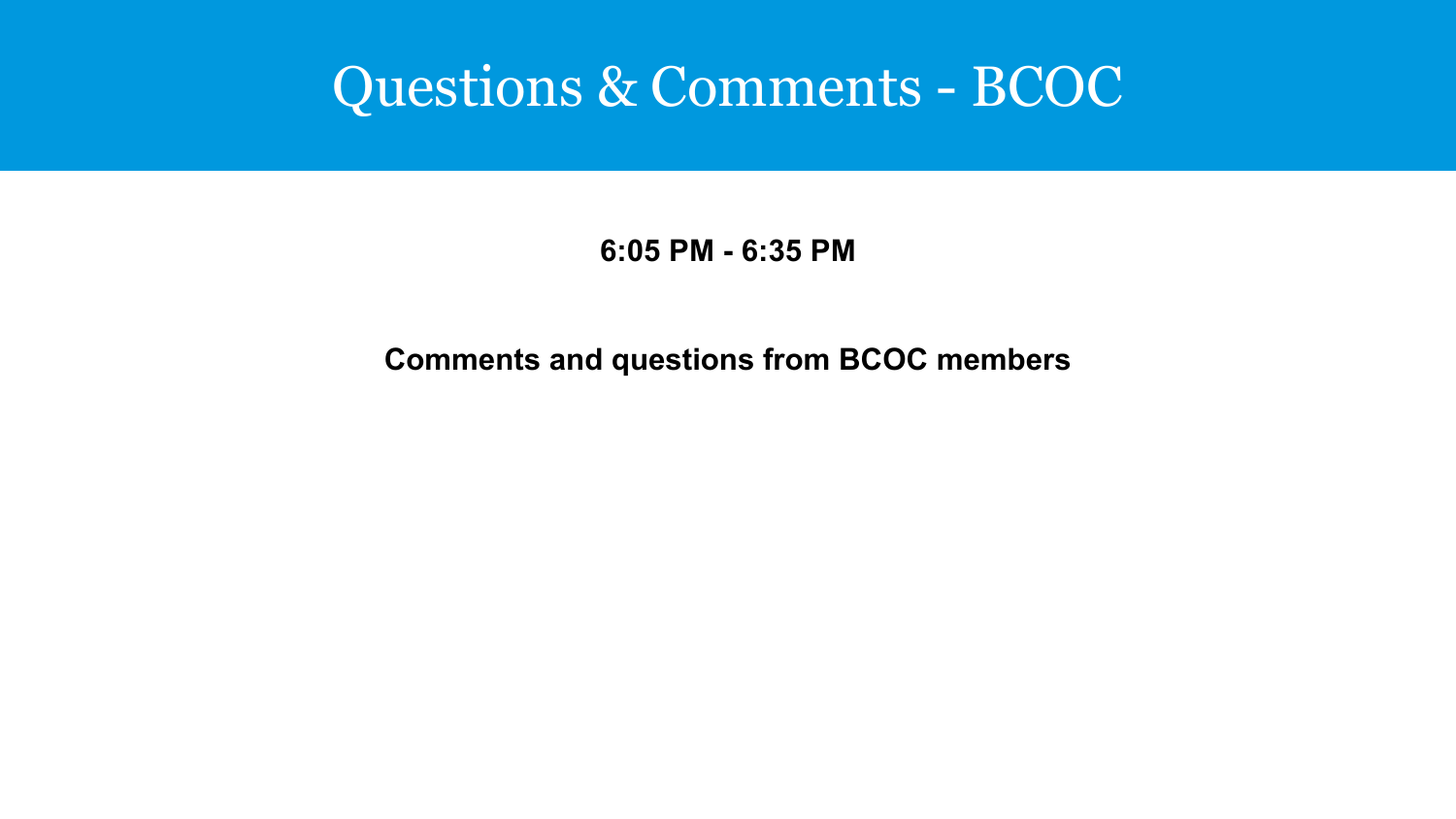#### Questions & Comments - BCOC

#### **6:05 PM - 6:35 PM**

#### **Comments and questions from BCOC members**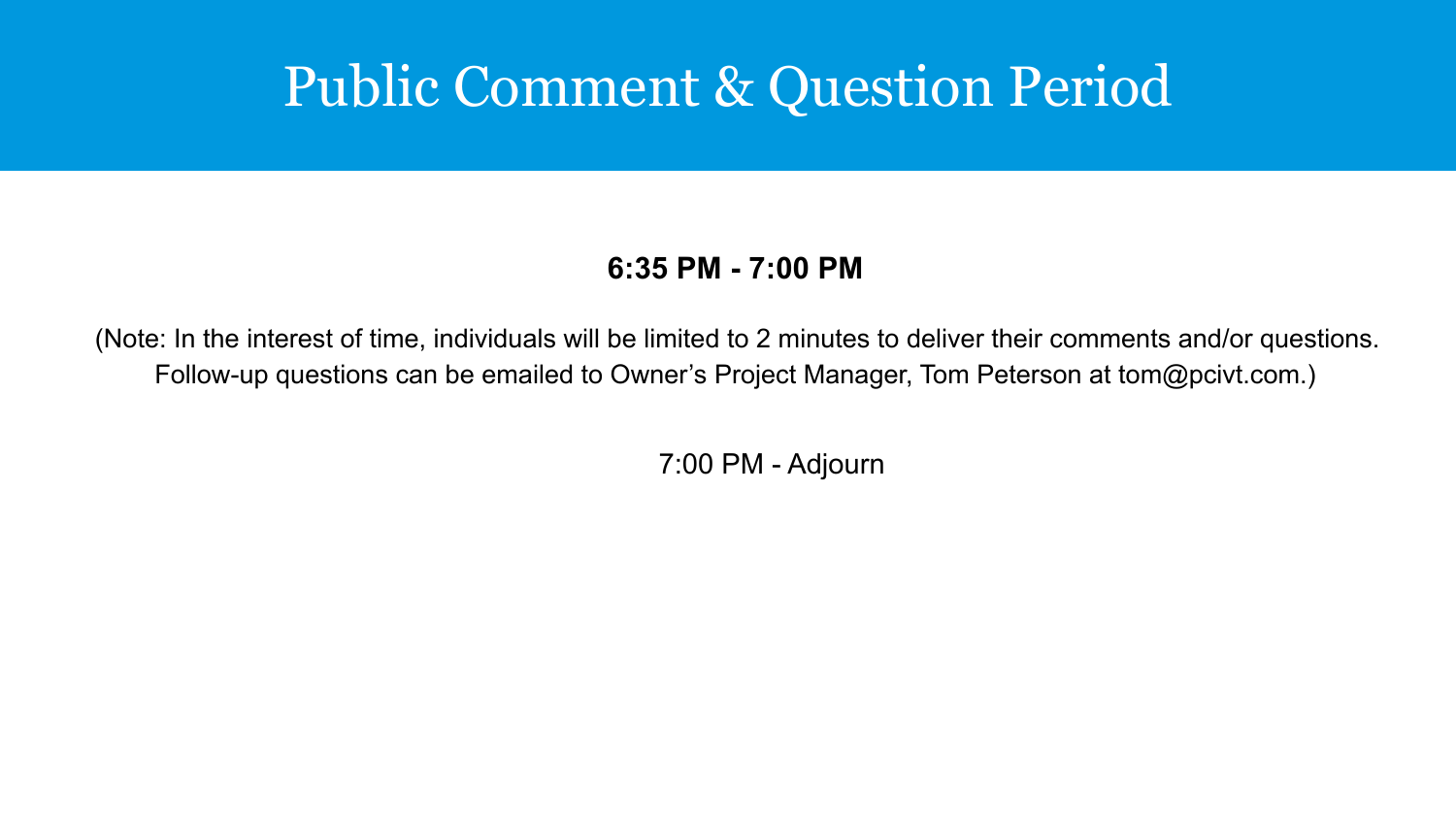### Public Comment & Question Period

#### **6:35 PM - 7:00 PM**

(Note: In the interest of time, individuals will be limited to 2 minutes to deliver their comments and/or questions. Follow-up questions can be emailed to Owner's Project Manager, Tom Peterson at tom@pcivt.com.)

7:00 PM - Adjourn